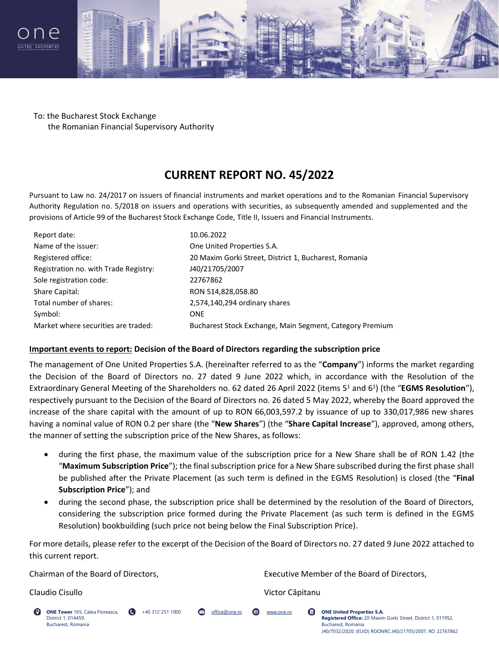



To: the Bucharest Stock Exchange the Romanian Financial Supervisory Authority

# **CURRENT REPORT NO. 45/2022**

Pursuant to Law no. 24/2017 on issuers of financial instruments and market operations and to the Romanian Financial Supervisory Authority Regulation no. 5/2018 on issuers and operations with securities, as subsequently amended and supplemented and the provisions of Article 99 of the Bucharest Stock Exchange Code, Title II, Issuers and Financial Instruments.

| Report date:                          | 10.06.2022                                               |
|---------------------------------------|----------------------------------------------------------|
| Name of the issuer:                   | One United Properties S.A.                               |
| Registered office:                    | 20 Maxim Gorki Street, District 1, Bucharest, Romania    |
| Registration no. with Trade Registry: | J40/21705/2007                                           |
| Sole registration code:               | 22767862                                                 |
| Share Capital:                        | RON 514,828,058.80                                       |
| Total number of shares:               | 2,574,140,294 ordinary shares                            |
| Symbol:                               | <b>ONE</b>                                               |
| Market where securities are traded:   | Bucharest Stock Exchange, Main Segment, Category Premium |

### **Important events to report: Decision of the Board of Directors regarding the subscription price**

The management of One United Properties S.A. (hereinafter referred to as the "**Company**") informs the market regarding the Decision of the Board of Directors no. 27 dated 9 June 2022 which, in accordance with the Resolution of the Extraordinary General Meeting of the Shareholders no. 62 dated 26 April 2022 (items 5<sup>1</sup> and 6<sup>1</sup>) (the "EGMS Resolution"), respectively pursuant to the Decision of the Board of Directors no. 26 dated 5 May 2022, whereby the Board approved the increase of the share capital with the amount of up to RON 66,003,597.2 by issuance of up to 330,017,986 new shares having a nominal value of RON 0.2 per share (the "**New Shares**") (the "**Share Capital Increase**"), approved, among others, the manner of setting the subscription price of the New Shares, as follows:

- during the first phase, the maximum value of the subscription price for a New Share shall be of RON 1.42 (the "**Maximum Subscription Price**"); the final subscription price for a New Share subscribed during the first phase shall be published after the Private Placement (as such term is defined in the EGMS Resolution) is closed (the "**Final Subscription Price**"); and
- during the second phase, the subscription price shall be determined by the resolution of the Board of Directors, considering the subscription price formed during the Private Placement (as such term is defined in the EGMS Resolution) bookbuilding (such price not being below the Final Subscription Price).

For more details, please refer to the excerpt of the Decision of the Board of Directors no. 27 dated 9 June 2022 attached to this current report.

Chairman of the Board of Directors, Executive Member of the Board of Directors,

A

Claudio Cisullo Victor Căpitanu

**ONE Tower** 165, Calea Floreasca, District 1, 014459, Bucharest, Romania

+40 312 251 1000 office@one.ro www.one.ro **ONE United Properties S.A. Registered Office:** 20, Maxim Gorki Street, District 1, 011952, Bucharest, Romania J40/7032/2020; (EUID) ROONRC.J40/21705/2007, RO 22767862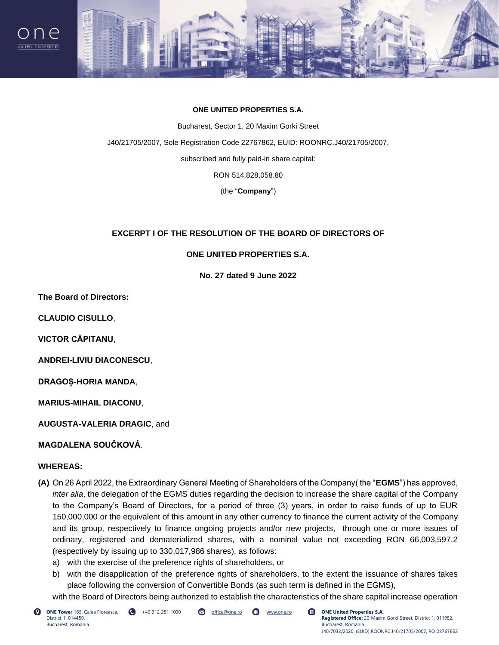



#### **ONE UNITED PROPERTIES S.A.**

Bucharest, Sector 1, 20 Maxim Gorki Street J40/21705/2007, Sole Registration Code 22767862, EUID: ROONRC.J40/21705/2007, subscribed and fully paid-in share capital: RON 514,828,058.80

(the "**Company**")

## **EXCERPT I OF THE RESOLUTION OF THE BOARD OF DIRECTORS OF**

### **ONE UNITED PROPERTIES S.A.**

**No. 27 dated 9 June 2022**

**The Board of Directors:**

**CLAUDIO CISULLO**,

**VICTOR CĂPITANU**,

**ANDREI-LIVIU DIACONESCU**,

**DRAGOȘ-HORIA MANDA**,

**MARIUS-MIHAIL DIACONU**,

**AUGUSTA-VALERIA DRAGIC**, and

## **MAGDALENA SOUČKOVÁ**.

#### **WHEREAS:**

- **(A)** On 26 April 2022, the Extraordinary General Meeting of Shareholders of the Company( the "**EGMS**") has approved, *inter alia*, the delegation of the EGMS duties regarding the decision to increase the share capital of the Company to the Company's Board of Directors, for a period of three (3) years, in order to raise funds of up to EUR 150,000,000 or the equivalent of this amount in any other currency to finance the current activity of the Company and its group, respectively to finance ongoing projects and/or new projects, through one or more issues of ordinary, registered and dematerialized shares, with a nominal value not exceeding RON 66,003,597.2 (respectively by issuing up to 330,017,986 shares), as follows:
	- a) with the exercise of the preference rights of shareholders, or
	- b) with the disapplication of the preference rights of shareholders, to the extent the issuance of shares takes place following the conversion of Convertible Bonds (as such term is defined in the EGMS),

with the Board of Directors being authorized to establish the characteristics of the share capital increase operation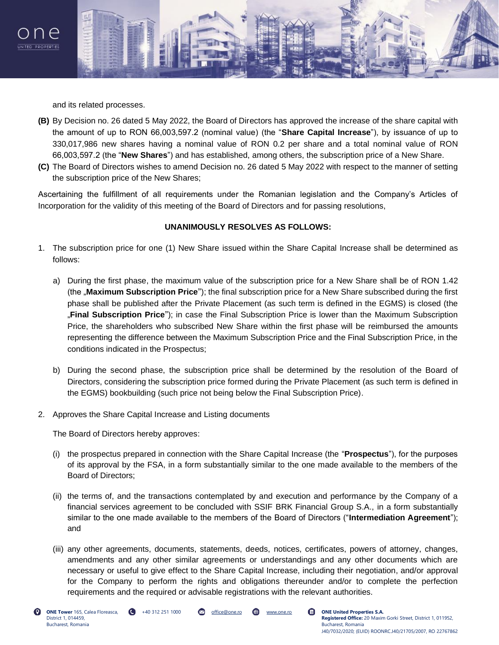



and its related processes.

- **(B)** By Decision no. 26 dated 5 May 2022, the Board of Directors has approved the increase of the share capital with the amount of up to RON 66,003,597.2 (nominal value) (the "**Share Capital Increase**"), by issuance of up to 330,017,986 new shares having a nominal value of RON 0.2 per share and a total nominal value of RON 66,003,597.2 (the "**New Shares**") and has established, among others, the subscription price of a New Share.
- **(C)** The Board of Directors wishes to amend Decision no. 26 dated 5 May 2022 with respect to the manner of setting the subscription price of the New Shares;

Ascertaining the fulfillment of all requirements under the Romanian legislation and the Company's Articles of Incorporation for the validity of this meeting of the Board of Directors and for passing resolutions,

#### **UNANIMOUSLY RESOLVES AS FOLLOWS:**

- 1. The subscription price for one (1) New Share issued within the Share Capital Increase shall be determined as follows:
	- a) During the first phase, the maximum value of the subscription price for a New Share shall be of RON 1.42 (the "**Maximum Subscription Price**"); the final subscription price for a New Share subscribed during the first phase shall be published after the Private Placement (as such term is defined in the EGMS) is closed (the "**Final Subscription Price**"); in case the Final Subscription Price is lower than the Maximum Subscription Price, the shareholders who subscribed New Share within the first phase will be reimbursed the amounts representing the difference between the Maximum Subscription Price and the Final Subscription Price, in the conditions indicated in the Prospectus;
	- b) During the second phase, the subscription price shall be determined by the resolution of the Board of Directors, considering the subscription price formed during the Private Placement (as such term is defined in the EGMS) bookbuilding (such price not being below the Final Subscription Price).
- 2. Approves the Share Capital Increase and Listing documents

The Board of Directors hereby approves:

- (i) the prospectus prepared in connection with the Share Capital Increase (the "**Prospectus**"), for the purposes of its approval by the FSA, in a form substantially similar to the one made available to the members of the Board of Directors;
- (ii) the terms of, and the transactions contemplated by and execution and performance by the Company of a financial services agreement to be concluded with SSIF BRK Financial Group S.A., in a form substantially similar to the one made available to the members of the Board of Directors ("**Intermediation Agreement**"); and
- (iii) any other agreements, documents, statements, deeds, notices, certificates, powers of attorney, changes, amendments and any other similar agreements or understandings and any other documents which are necessary or useful to give effect to the Share Capital Increase, including their negotiation, and/or approval for the Company to perform the rights and obligations thereunder and/or to complete the perfection requirements and the required or advisable registrations with the relevant authorities.

Q

+40 312 251 1000 office@one.ro www.one.ro **ONE United Properties S.A.**